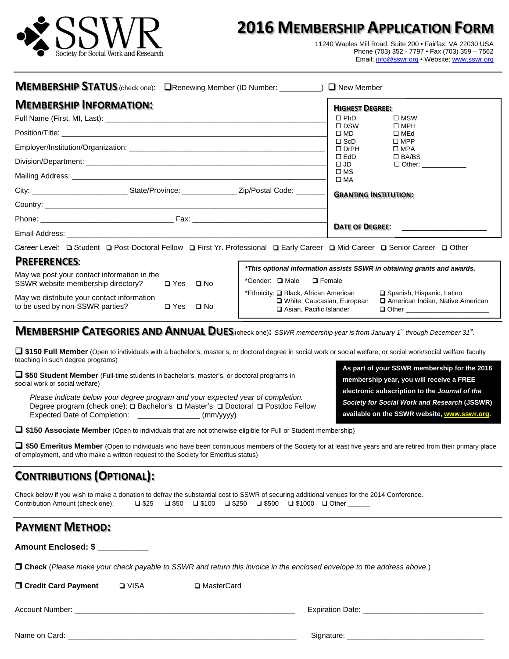

# **2016 MEMBERSHIP APPLICATION FORM**

11240 Waples Mill Road, Suite 200 • Fairfax, VA 22030 USA Phone (703) 352 - 7797 • Fax (703) 359 – 7562 Email: info@sswr.org • Website: www.sswr.org

> **membership year, you will receive a FREE electronic subscription to the** *Journal of the Society for Social Work and Research* **(JSSWR) available on the SSWR website, www.sswr.org.**

| MEMBERSHIP STATUS (check one): ORenewing Member (ID Number: __________) O New Member                                                                                                                                         |                                                                                                                                                                                                                                                                                                                                                                                                                                               |  |
|------------------------------------------------------------------------------------------------------------------------------------------------------------------------------------------------------------------------------|-----------------------------------------------------------------------------------------------------------------------------------------------------------------------------------------------------------------------------------------------------------------------------------------------------------------------------------------------------------------------------------------------------------------------------------------------|--|
| <b>MEMBERSHIP INFORMATION:</b>                                                                                                                                                                                               | <b>HIGHEST DEGREE:</b><br>$\Box$ PhD<br>$\square$ MSW                                                                                                                                                                                                                                                                                                                                                                                         |  |
|                                                                                                                                                                                                                              | $\Box$ DSW<br>$\square$ MPH<br>$\square$ MD<br>$\Box$ MEd<br>$\square$ ScD<br>$\Box$ MPP<br>$\Box$ DrPH<br>$\square$ MPA<br>$\Box$ EdD<br>$\Box$ BA/BS<br>□ Other: ____________<br>$\square$ JD                                                                                                                                                                                                                                               |  |
| City: ________________________________State/Province: _________________________Zip/Postal Code: _________                                                                                                                    | $\square$ MS<br>$\square$ MA<br><b>GRANTING INSTITUTION:</b>                                                                                                                                                                                                                                                                                                                                                                                  |  |
|                                                                                                                                                                                                                              | DATE OF DEGREE:                                                                                                                                                                                                                                                                                                                                                                                                                               |  |
| <b>PREFERENCES:</b><br>May we post your contact information in the<br>SSWR website membership directory?<br>O Yes O No<br>May we distribute your contact information<br>to be used by non-SSWR parties?<br><b>O</b> Yes Q No | Career Level: □ Student □ Post-Doctoral Fellow □ First Yr. Professional □ Early Career □ Mid-Career □ Senior Career □ Other<br>*This optional information assists SSWR in obtaining grants and awards.<br>*Gender: <b>Q</b> Male<br>$\Box$ Female<br>*Ethnicity: Q Black, African American<br>Spanish, Hispanic, Latino<br>□ White, Caucasian, European<br>American Indian, Native American<br>Asian, Pacific Islander<br>$\Box$ Other $\Box$ |  |
|                                                                                                                                                                                                                              | <b>MEMBERGUID CATEGODIES AND ANNULAL DUFS.</b> A some that the state of the state of $\mathcal{S}$                                                                                                                                                                                                                                                                                                                                            |  |

**IVIEMBERSHIP CATEGORIES AND ANNUAL DUES** (check one): SSWR membership year is from January 1<sup>st</sup> through December 31<sup>st</sup>.

 **\$150 Full Member** (Open to individuals with a bachelor's, master's, or doctoral degree in social work or social welfare; or social work/social welfare faculty teaching in such degree programs) **As part of your SSWR membership for the 2016** 

 **\$50 Student Member** (Full-time students in bachelor's, master's, or doctoral programs in social work or social welfare)

*Please indicate below your degree program and your expected year of completion.*  Degree program (check one): **Q** Bachelor's **Q** Master's Q Doctoral Q Postdoc Fellow Expected Date of Completion: \_\_\_\_\_\_\_\_\_\_\_\_\_\_\_ (mm/yyyy)

**\$150 Associate Member** (Open to individuals that are not otherwise eligible for Full or Student membership)

□ \$50 Emeritus Member (Open to individuals who have been continuous members of the Society for at least five years and are retired from their primary place of employment, and who make a written request to the Society for Emeritus status)

## **CONTRIBUTIONS (OPTIONAL):**

Check below if you wish to make a donation to defray the substantial cost to SSWR of securing additional venues for the 2014 Conference. Contribution Amount (check one):  $\Box$  \$25  $\Box$  \$50  $\Box$  \$100  $\Box$  \$500  $\Box$  \$1000  $\Box$  Other \_\_\_\_\_

## **PAYMENT METHOD:**

**Amount Enclosed: \$ \_\_\_\_\_\_\_\_\_\_\_** 

 **Check** (*Please make your check payable to SSWR and return this invoice in the enclosed envelope to the address above.*)

| □ Credit Card Payment | <b>Q</b> VISA | <b>□</b> MasterCard |                         |
|-----------------------|---------------|---------------------|-------------------------|
| Account Number:       |               |                     | <b>Expiration Date:</b> |
| Name on Card:         |               |                     | Signature:              |